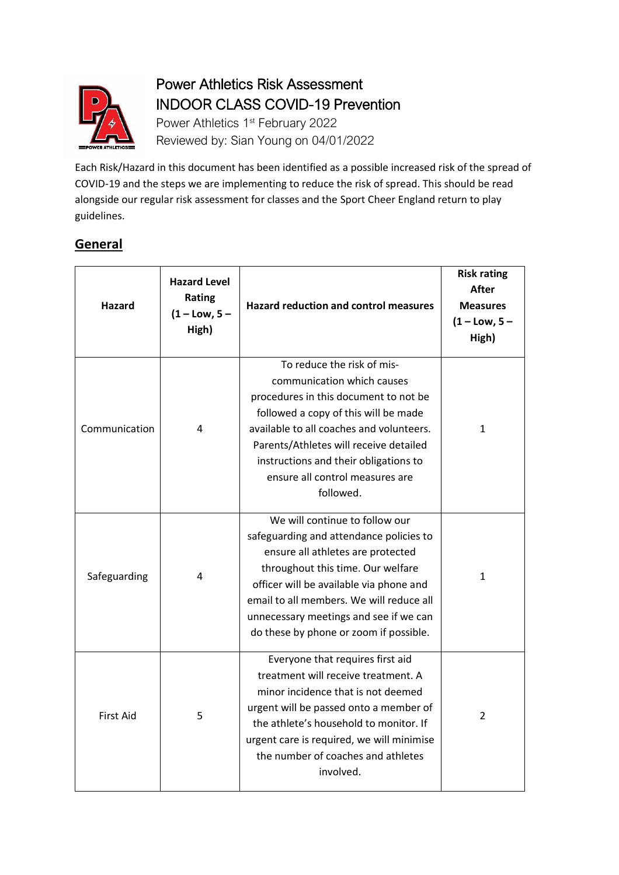

## Power Athletics Risk Assessment INDOOR CLASS COVID-19 Prevention

Power Athletics 1<sup>st</sup> February 2022 Reviewed by: Sian Young on 04/01/2022

Each Risk/Hazard in this document has been identified as a possible increased risk of the spread of COVID-19 and the steps we are implementing to reduce the risk of spread. This should be read alongside our regular risk assessment for classes and the Sport Cheer England return to play guidelines.

## **General**

| Hazard           | <b>Hazard Level</b><br><b>Rating</b><br>$(1 - Low, 5 -$<br>High) | <b>Hazard reduction and control measures</b>                                                                                                                                                                                                                                                                                   | <b>Risk rating</b><br><b>After</b><br><b>Measures</b><br>$(1 - Low, 5 -$<br>High) |
|------------------|------------------------------------------------------------------|--------------------------------------------------------------------------------------------------------------------------------------------------------------------------------------------------------------------------------------------------------------------------------------------------------------------------------|-----------------------------------------------------------------------------------|
| Communication    | 4                                                                | To reduce the risk of mis-<br>communication which causes<br>procedures in this document to not be<br>followed a copy of this will be made<br>available to all coaches and volunteers.<br>Parents/Athletes will receive detailed<br>instructions and their obligations to<br>ensure all control measures are<br>followed.       | 1                                                                                 |
| Safeguarding     | 4                                                                | We will continue to follow our<br>safeguarding and attendance policies to<br>ensure all athletes are protected<br>throughout this time. Our welfare<br>officer will be available via phone and<br>email to all members. We will reduce all<br>unnecessary meetings and see if we can<br>do these by phone or zoom if possible. | 1                                                                                 |
| <b>First Aid</b> | 5                                                                | Everyone that requires first aid<br>treatment will receive treatment. A<br>minor incidence that is not deemed<br>urgent will be passed onto a member of<br>the athlete's household to monitor. If<br>urgent care is required, we will minimise<br>the number of coaches and athletes<br>involved.                              | 2                                                                                 |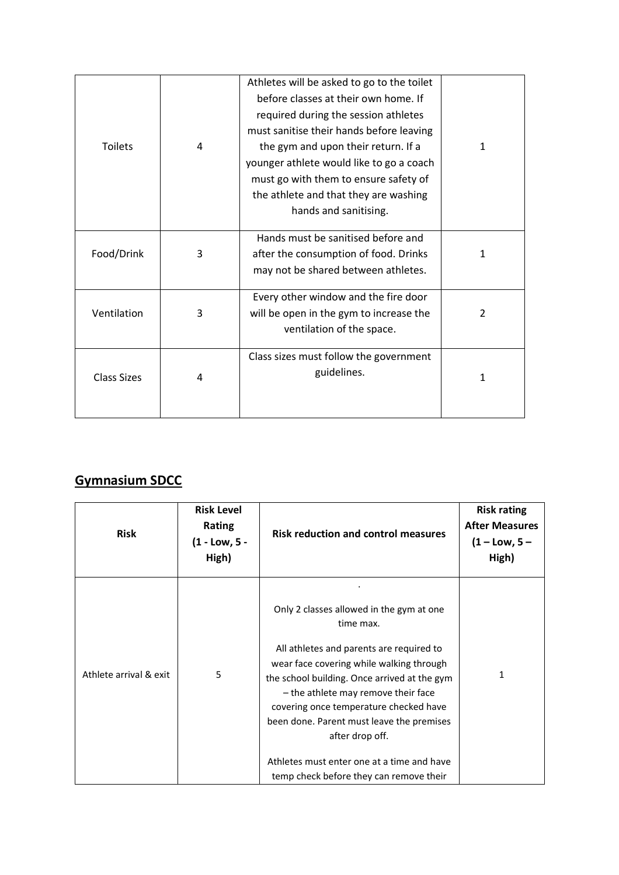| <b>Toilets</b>     | 4 | Athletes will be asked to go to the toilet<br>before classes at their own home. If<br>required during the session athletes<br>must sanitise their hands before leaving<br>the gym and upon their return. If a<br>younger athlete would like to go a coach<br>must go with them to ensure safety of<br>the athlete and that they are washing<br>hands and sanitising. | 1 |
|--------------------|---|----------------------------------------------------------------------------------------------------------------------------------------------------------------------------------------------------------------------------------------------------------------------------------------------------------------------------------------------------------------------|---|
| Food/Drink         | 3 | Hands must be sanitised before and<br>after the consumption of food. Drinks<br>may not be shared between athletes.                                                                                                                                                                                                                                                   | 1 |
| Ventilation        | 3 | Every other window and the fire door<br>will be open in the gym to increase the<br>ventilation of the space.                                                                                                                                                                                                                                                         | 2 |
| <b>Class Sizes</b> | 4 | Class sizes must follow the government<br>guidelines.                                                                                                                                                                                                                                                                                                                | 1 |

## **Gymnasium SDCC**

| <b>Risk</b>            | <b>Risk Level</b><br>Rating<br>(1 - Low, 5 -<br>High) | <b>Risk reduction and control measures</b>                                                                                                                                                                                                                                                                                                                                                                                              | <b>Risk rating</b><br><b>After Measures</b><br>$(1 - Low, 5 -$<br>High) |
|------------------------|-------------------------------------------------------|-----------------------------------------------------------------------------------------------------------------------------------------------------------------------------------------------------------------------------------------------------------------------------------------------------------------------------------------------------------------------------------------------------------------------------------------|-------------------------------------------------------------------------|
| Athlete arrival & exit | 5                                                     | Only 2 classes allowed in the gym at one<br>time max.<br>All athletes and parents are required to<br>wear face covering while walking through<br>the school building. Once arrived at the gym<br>- the athlete may remove their face<br>covering once temperature checked have<br>been done. Parent must leave the premises<br>after drop off.<br>Athletes must enter one at a time and have<br>temp check before they can remove their | 1                                                                       |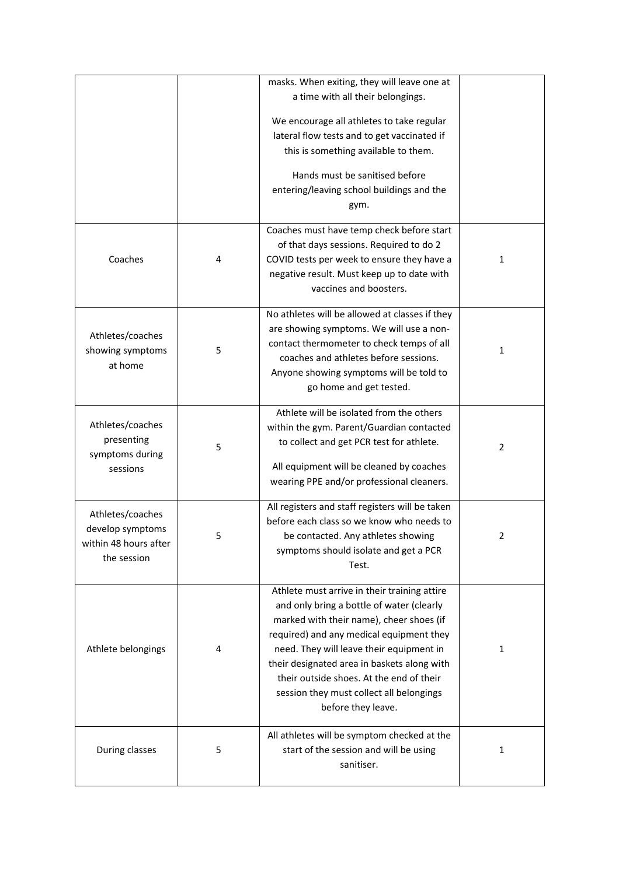|                                                                              |   | masks. When exiting, they will leave one at<br>a time with all their belongings.<br>We encourage all athletes to take regular<br>lateral flow tests and to get vaccinated if<br>this is something available to them.                                                                                                                                                                       |   |
|------------------------------------------------------------------------------|---|--------------------------------------------------------------------------------------------------------------------------------------------------------------------------------------------------------------------------------------------------------------------------------------------------------------------------------------------------------------------------------------------|---|
|                                                                              |   | Hands must be sanitised before<br>entering/leaving school buildings and the<br>gym.                                                                                                                                                                                                                                                                                                        |   |
| Coaches                                                                      | 4 | Coaches must have temp check before start<br>of that days sessions. Required to do 2<br>COVID tests per week to ensure they have a<br>negative result. Must keep up to date with<br>vaccines and boosters.                                                                                                                                                                                 | 1 |
| Athletes/coaches<br>showing symptoms<br>at home                              | 5 | No athletes will be allowed at classes if they<br>are showing symptoms. We will use a non-<br>contact thermometer to check temps of all<br>coaches and athletes before sessions.<br>Anyone showing symptoms will be told to<br>go home and get tested.                                                                                                                                     | 1 |
| Athletes/coaches<br>presenting<br>symptoms during<br>sessions                | 5 | Athlete will be isolated from the others<br>within the gym. Parent/Guardian contacted<br>to collect and get PCR test for athlete.<br>All equipment will be cleaned by coaches<br>wearing PPE and/or professional cleaners.                                                                                                                                                                 | 2 |
| Athletes/coaches<br>develop symptoms<br>within 48 hours after<br>the session | 5 | All registers and staff registers will be taken<br>before each class so we know who needs to<br>be contacted. Any athletes showing<br>symptoms should isolate and get a PCR<br>Test.                                                                                                                                                                                                       | 2 |
| Athlete belongings                                                           | 4 | Athlete must arrive in their training attire<br>and only bring a bottle of water (clearly<br>marked with their name), cheer shoes (if<br>required) and any medical equipment they<br>need. They will leave their equipment in<br>their designated area in baskets along with<br>their outside shoes. At the end of their<br>session they must collect all belongings<br>before they leave. | 1 |
| During classes                                                               | 5 | All athletes will be symptom checked at the<br>start of the session and will be using<br>sanitiser.                                                                                                                                                                                                                                                                                        | 1 |